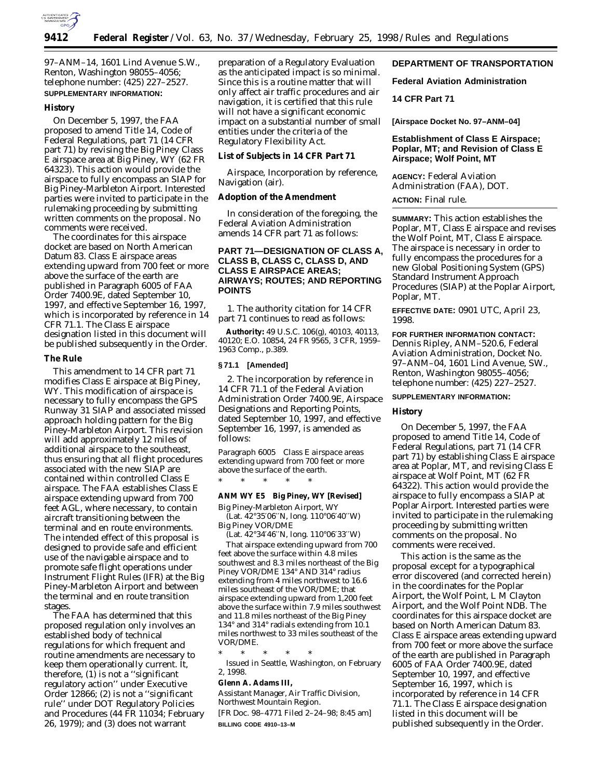

97–ANM–14, 1601 Lind Avenue S.W., Renton, Washington 98055–4056; telephone number: (425) 227–2527. **SUPPLEMENTARY INFORMATION:**

#### **History**

On December 5, 1997, the FAA proposed to amend Title 14, Code of Federal Regulations, part 71 (14 CFR part 71) by revising the Big Piney Class E airspace area at Big Piney, WY (62 FR 64323). This action would provide the airspace to fully encompass an SIAP for Big Piney-Marbleton Airport. Interested parties were invited to participate in the rulemaking proceeding by submitting written comments on the proposal. No comments were received.

The coordinates for this airspace docket are based on North American Datum 83. Class E airspace areas extending upward from 700 feet or more above the surface of the earth are published in Paragraph 6005 of FAA Order 7400.9E, dated September 10, 1997, and effective September 16, 1997, which is incorporated by reference in 14 CFR 71.1. The Class E airspace designation listed in this document will be published subsequently in the Order.

#### **The Rule**

This amendment to 14 CFR part 71 modifies Class E airspace at Big Piney, WY. This modification of airspace is necessary to fully encompass the GPS Runway 31 SIAP and associated missed approach holding pattern for the Big Piney-Marbleton Airport. This revision will add approximately 12 miles of additional airspace to the southeast, thus ensuring that all flight procedures associated with the new SIAP are contained within controlled Class E airspace. The FAA establishes Class E airspace extending upward from 700 feet AGL, where necessary, to contain aircraft transitioning between the terminal and en route environments. The intended effect of this proposal is designed to provide safe and efficient use of the navigable airspace and to promote safe flight operations under Instrument Flight Rules (IFR) at the Big Piney-Marbleton Airport and between the terminal and en route transition stages.

The FAA has determined that this proposed regulation only involves an established body of technical regulations for which frequent and routine amendments are necessary to keep them operationally current. It, therefore,  $(1)$  is not a "significant" regulatory action'' under Executive Order 12866; (2) is not a ''significant rule'' under DOT Regulatory Policies and Procedures (44 FR 11034; February 26, 1979); and (3) does not warrant

preparation of a Regulatory Evaluation as the anticipated impact is so minimal. Since this is a routine matter that will only affect air traffic procedures and air navigation, it is certified that this rule will not have a significant economic impact on a substantial number of small entities under the criteria of the Regulatory Flexibility Act.

# **List of Subjects in 14 CFR Part 71**

Airspace, Incorporation by reference, Navigation (air).

#### **Adoption of the Amendment**

In consideration of the foregoing, the Federal Aviation Administration amends 14 CFR part 71 as follows:

# **PART 71—DESIGNATION OF CLASS A, CLASS B, CLASS C, CLASS D, AND CLASS E AIRSPACE AREAS; AIRWAYS; ROUTES; AND REPORTING POINTS**

1. The authority citation for 14 CFR part 71 continues to read as follows:

**Authority:** 49 U.S.C. 106(g), 40103, 40113, 40120; E.O. 10854, 24 FR 9565, 3 CFR, 1959– 1963 Comp., p.389.

#### **§ 71.1 [Amended]**

2. The incorporation by reference in 14 CFR 71.1 of the Federal Aviation Administration Order 7400.9E, Airspace Designations and Reporting Points, dated September 10, 1997, and effective September 16, 1997, is amended as follows:

*Paragraph 6005 Class E airspace areas extending upward from 700 feet or more above the surface of the earth.*

#### **ANM WY E5 Big Piney, WY [Revised]**

\* \* \* \* \*

Big Piney-Marbleton Airport, WY (Lat. 42°35′06′′N, long. 110°06′40′′W) Big Piney VOR/DME

(Lat. 42°34′46′′N, long. 110°06′33′′W)

That airspace extending upward from 700 feet above the surface within 4.8 miles southwest and 8.3 miles northeast of the Big Piney VOR/DME 134° AND 314° radius extending from 4 miles northwest to 16.6 miles southeast of the VOR/DME; that airspace extending upward from 1,200 feet above the surface within 7.9 miles southwest and 11.8 miles northeast of the Big Piney 134° and 314° radials extending from 10.1 miles northwest to 33 miles southeast of the VOR/DME.

\* \* \* \* \* Issued in Seattle, Washington, on February 2, 1998.

#### **Glenn A. Adams III,**

*Assistant Manager, Air Traffic Division, Northwest Mountain Region.* [FR Doc. 98–4771 Filed 2–24–98; 8:45 am] **BILLING CODE 4910–13–M**

# **DEPARTMENT OF TRANSPORTATION**

**Federal Aviation Administration**

#### **14 CFR Part 71**

**[Airspace Docket No. 97–ANM–04]**

## **Establishment of Class E Airspace; Poplar, MT; and Revision of Class E Airspace; Wolf Point, MT**

**AGENCY:** Federal Aviation Administration (FAA), DOT.

#### **ACTION:** Final rule.

**SUMMARY:** This action establishes the Poplar, MT, Class E airspace and revises the Wolf Point, MT, Class E airspace. The airspace is necessary in order to fully encompass the procedures for a new Global Positioning System (GPS) Standard Instrument Approach Procedures (SIAP) at the Poplar Airport, Poplar, MT.

**EFFECTIVE DATE:** 0901 UTC, April 23, 1998.

# **FOR FURTHER INFORMATION CONTACT:** Dennis Ripley, ANM–520.6, Federal Aviation Administration, Docket No. 97–ANM–04, 1601 Lind Avenue, SW., Renton, Washington 98055–4056; telephone number: (425) 227–2527.

#### **SUPPLEMENTARY INFORMATION:**

#### **History**

On December 5, 1997, the FAA proposed to amend Title 14, Code of Federal Regulations, part 71 (14 CFR part 71) by establishing Class E airspace area at Poplar, MT, and revising Class E airspace at Wolf Point, MT (62 FR 64322). This action would provide the airspace to fully encompass a SIAP at Poplar Airport. Interested parties were invited to participate in the rulemaking proceeding by submitting written comments on the proposal. No comments were received.

This action is the same as the proposal except for a typographical error discovered (and corrected herein) in the coordinates for the Poplar Airport, the Wolf Point, L M Clayton Airport, and the Wolf Point NDB. The coordinates for this airspace docket are based on North American Datum 83. Class E airspace areas extending upward from 700 feet or more above the surface of the earth are published in Paragraph 6005 of FAA Order 7400.9E, dated September 10, 1997, and effective September 16, 1997, which is incorporated by reference in 14 CFR 71.1. The Class E airspace designation listed in this document will be published subsequently in the Order.